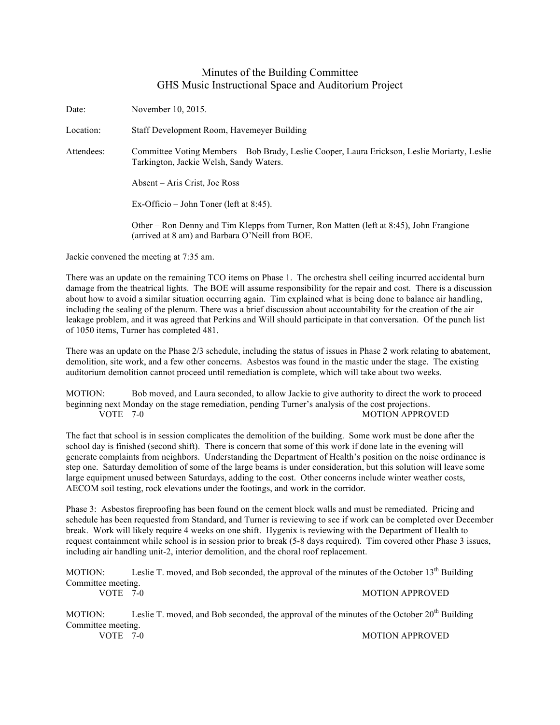## Minutes of the Building Committee GHS Music Instructional Space and Auditorium Project

Date: November 10, 2015. Location: Staff Development Room, Havemeyer Building Attendees: Committee Voting Members – Bob Brady, Leslie Cooper, Laura Erickson, Leslie Moriarty, Leslie Tarkington, Jackie Welsh, Sandy Waters. Absent – Aris Crist, Joe Ross Ex-Officio – John Toner (left at 8:45). Other – Ron Denny and Tim Klepps from Turner, Ron Matten (left at 8:45), John Frangione (arrived at 8 am) and Barbara O'Neill from BOE.

Jackie convened the meeting at 7:35 am.

There was an update on the remaining TCO items on Phase 1. The orchestra shell ceiling incurred accidental burn damage from the theatrical lights. The BOE will assume responsibility for the repair and cost. There is a discussion about how to avoid a similar situation occurring again. Tim explained what is being done to balance air handling, including the sealing of the plenum. There was a brief discussion about accountability for the creation of the air leakage problem, and it was agreed that Perkins and Will should participate in that conversation. Of the punch list of 1050 items, Turner has completed 481.

There was an update on the Phase 2/3 schedule, including the status of issues in Phase 2 work relating to abatement, demolition, site work, and a few other concerns. Asbestos was found in the mastic under the stage. The existing auditorium demolition cannot proceed until remediation is complete, which will take about two weeks.

MOTION: Bob moved, and Laura seconded, to allow Jackie to give authority to direct the work to proceed beginning next Monday on the stage remediation, pending Turner's analysis of the cost projections. VOTE 7-0 MOTION APPROVED

The fact that school is in session complicates the demolition of the building. Some work must be done after the school day is finished (second shift). There is concern that some of this work if done late in the evening will generate complaints from neighbors. Understanding the Department of Health's position on the noise ordinance is step one. Saturday demolition of some of the large beams is under consideration, but this solution will leave some large equipment unused between Saturdays, adding to the cost. Other concerns include winter weather costs, AECOM soil testing, rock elevations under the footings, and work in the corridor.

Phase 3: Asbestos fireproofing has been found on the cement block walls and must be remediated. Pricing and schedule has been requested from Standard, and Turner is reviewing to see if work can be completed over December break. Work will likely require 4 weeks on one shift. Hygenix is reviewing with the Department of Health to request containment while school is in session prior to break (5-8 days required). Tim covered other Phase 3 issues, including air handling unit-2, interior demolition, and the choral roof replacement.

MOTION: Leslie T. moved, and Bob seconded, the approval of the minutes of the October  $13<sup>th</sup>$  Building Committee meeting. VOTE 7-0 MOTION APPROVED

MOTION: Leslie T. moved, and Bob seconded, the approval of the minutes of the October  $20^{th}$  Building Committee meeting. VOTE 7-0 MOTION APPROVED